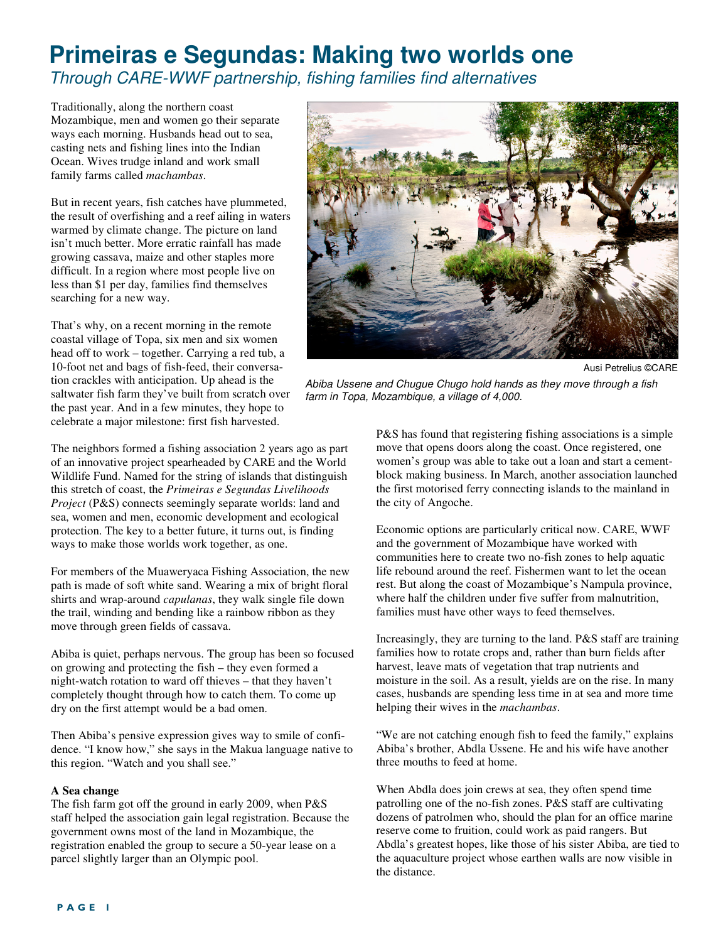## **Primeiras e Segundas: Making two worlds one**  Through CARE-WWF partnership, fishing families find alternatives

Traditionally, along the northern coast Mozambique, men and women go their separate ways each morning. Husbands head out to sea, casting nets and fishing lines into the Indian Ocean. Wives trudge inland and work small family farms called *machambas*.

But in recent years, fish catches have plummeted, the result of overfishing and a reef ailing in waters warmed by climate change. The picture on land isn't much better. More erratic rainfall has made growing cassava, maize and other staples more difficult. In a region where most people live on less than \$1 per day, families find themselves searching for a new way.

That's why, on a recent morning in the remote coastal village of Topa, six men and six women head off to work – together. Carrying a red tub, a 10-foot net and bags of fish-feed, their conversation crackles with anticipation. Up ahead is the saltwater fish farm they've built from scratch over the past year. And in a few minutes, they hope to celebrate a major milestone: first fish harvested.

The neighbors formed a fishing association 2 years ago as part of an innovative project spearheaded by CARE and the World Wildlife Fund. Named for the string of islands that distinguish this stretch of coast, the *Primeiras e Segundas Livelihoods Project* (P&S) connects seemingly separate worlds: land and sea, women and men, economic development and ecological protection. The key to a better future, it turns out, is finding ways to make those worlds work together, as one.

For members of the Muaweryaca Fishing Association, the new path is made of soft white sand. Wearing a mix of bright floral shirts and wrap-around *capulanas*, they walk single file down the trail, winding and bending like a rainbow ribbon as they move through green fields of cassava.

Abiba is quiet, perhaps nervous. The group has been so focused on growing and protecting the fish – they even formed a night-watch rotation to ward off thieves – that they haven't completely thought through how to catch them. To come up dry on the first attempt would be a bad omen.

Then Abiba's pensive expression gives way to smile of confidence. "I know how," she says in the Makua language native to this region. "Watch and you shall see."

## **A Sea change**

The fish farm got off the ground in early 2009, when P&S staff helped the association gain legal registration. Because the government owns most of the land in Mozambique, the registration enabled the group to secure a 50-year lease on a parcel slightly larger than an Olympic pool.



Ausi Petrelius ©CARE

Abiba Ussene and Chugue Chugo hold hands as they move through a fish farm in Topa, Mozambique, a village of 4,000.

P&S has found that registering fishing associations is a simple move that opens doors along the coast. Once registered, one women's group was able to take out a loan and start a cementblock making business. In March, another association launched the first motorised ferry connecting islands to the mainland in the city of Angoche.

Economic options are particularly critical now. CARE, WWF and the government of Mozambique have worked with communities here to create two no-fish zones to help aquatic life rebound around the reef. Fishermen want to let the ocean rest. But along the coast of Mozambique's Nampula province, where half the children under five suffer from malnutrition, families must have other ways to feed themselves.

Increasingly, they are turning to the land. P&S staff are training families how to rotate crops and, rather than burn fields after harvest, leave mats of vegetation that trap nutrients and moisture in the soil. As a result, yields are on the rise. In many cases, husbands are spending less time in at sea and more time helping their wives in the *machambas*.

"We are not catching enough fish to feed the family," explains Abiba's brother, Abdla Ussene. He and his wife have another three mouths to feed at home.

When Abdla does join crews at sea, they often spend time patrolling one of the no-fish zones. P&S staff are cultivating dozens of patrolmen who, should the plan for an office marine reserve come to fruition, could work as paid rangers. But Abdla's greatest hopes, like those of his sister Abiba, are tied to the aquaculture project whose earthen walls are now visible in the distance.